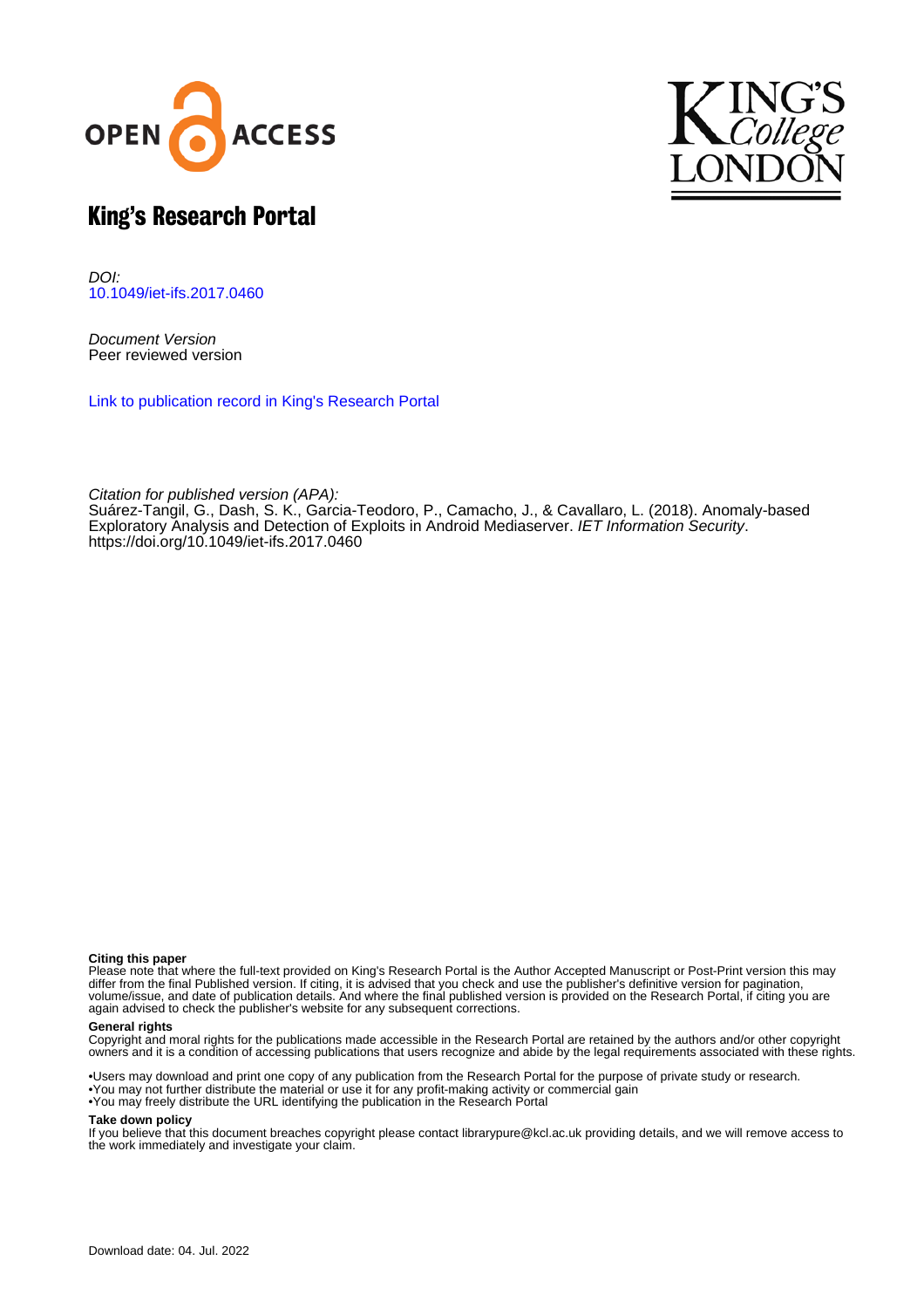



# King's Research Portal

DOI: [10.1049/iet-ifs.2017.0460](https://doi.org/10.1049/iet-ifs.2017.0460)

Document Version Peer reviewed version

[Link to publication record in King's Research Portal](https://kclpure.kcl.ac.uk/portal/en/publications/anomalybased-exploratory-analysis-and-detection-of-exploits-in-android-mediaserver(10f28f01-d971-4d21-bdb4-0ebf0bcd5749).html)

Citation for published version (APA):

[Suárez-Tangil, G.](https://kclpure.kcl.ac.uk/portal/en/persons/guillermo-suarez-de-tangil-rotaeche(b9be786a-6131-433d-a2fe-4b7006ee4e0f).html), Dash, S. K., Garcia-Teodoro, P., Camacho, J.[, & Cavallaro, L.](https://kclpure.kcl.ac.uk/portal/en/persons/lorenzo-cavallaro(03bc6371-26c0-4b53-8987-e38fa17b0441).html) (2018). [Anomaly-based](https://kclpure.kcl.ac.uk/portal/en/publications/anomalybased-exploratory-analysis-and-detection-of-exploits-in-android-mediaserver(10f28f01-d971-4d21-bdb4-0ebf0bcd5749).html) [Exploratory Analysis and Detection of Exploits in Android Mediaserver.](https://kclpure.kcl.ac.uk/portal/en/publications/anomalybased-exploratory-analysis-and-detection-of-exploits-in-android-mediaserver(10f28f01-d971-4d21-bdb4-0ebf0bcd5749).html) [IET Information Security](https://kclpure.kcl.ac.uk/portal/en/journals/iet-information-security(dfe3dec2-b38a-4bfc-8e50-2f3b57ee638a).html). <https://doi.org/10.1049/iet-ifs.2017.0460>

#### **Citing this paper**

Please note that where the full-text provided on King's Research Portal is the Author Accepted Manuscript or Post-Print version this may differ from the final Published version. If citing, it is advised that you check and use the publisher's definitive version for pagination, volume/issue, and date of publication details. And where the final published version is provided on the Research Portal, if citing you are again advised to check the publisher's website for any subsequent corrections.

### **General rights**

Copyright and moral rights for the publications made accessible in the Research Portal are retained by the authors and/or other copyright owners and it is a condition of accessing publications that users recognize and abide by the legal requirements associated with these rights.

•Users may download and print one copy of any publication from the Research Portal for the purpose of private study or research. •You may not further distribute the material or use it for any profit-making activity or commercial gain •You may freely distribute the URL identifying the publication in the Research Portal

#### **Take down policy**

If you believe that this document breaches copyright please contact librarypure@kcl.ac.uk providing details, and we will remove access to the work immediately and investigate your claim.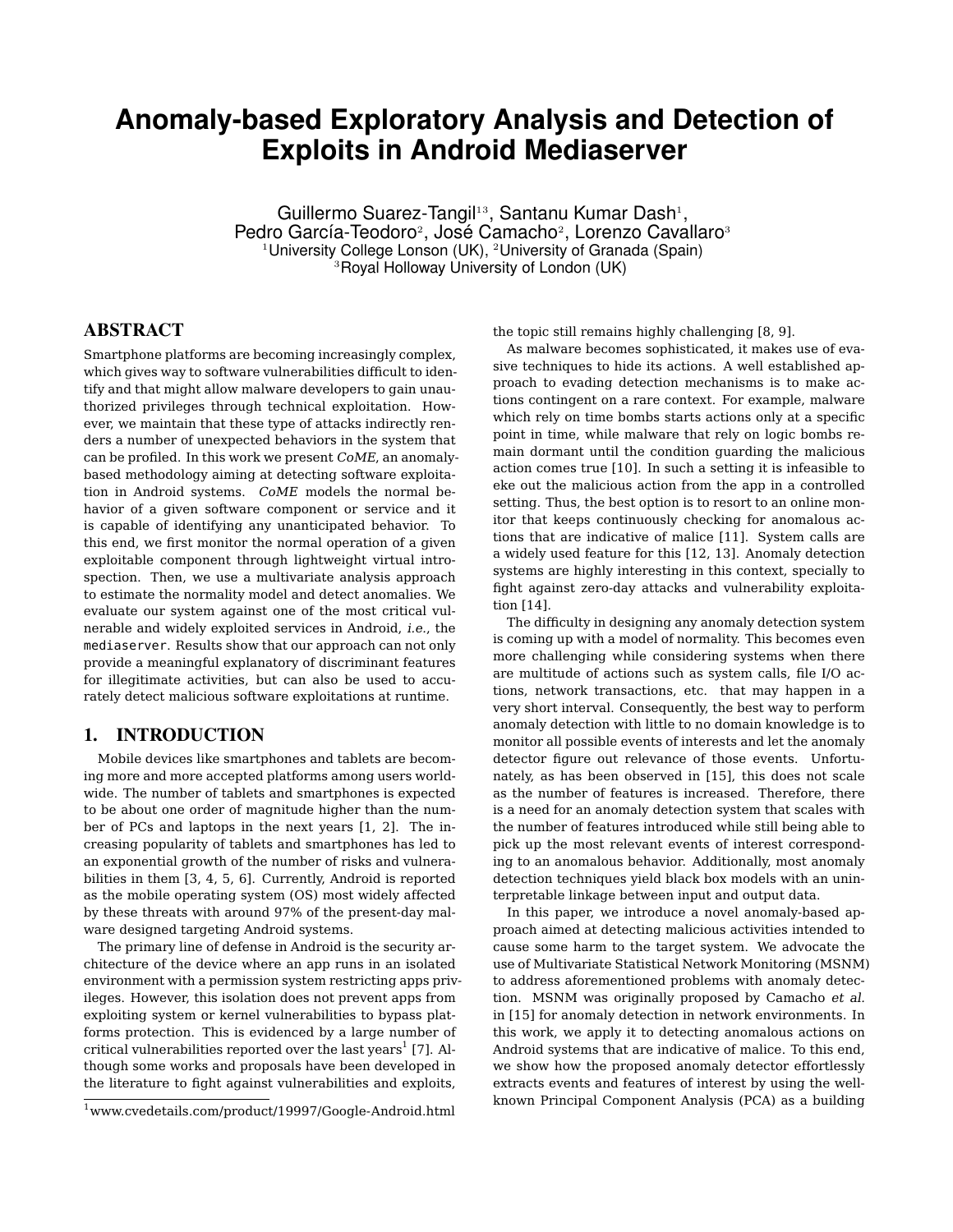# **Anomaly-based Exploratory Analysis and Detection of Exploits in Android Mediaserver**

Guillermo Suarez-Tangil $^{13}$ , Santanu Kumar Dash $^{1}$ , Pedro García-Teodoro<sup>2</sup>, José Camacho<sup>2</sup>, Lorenzo Cavallaro<sup>3</sup> <sup>1</sup>University College Lonson (UK), <sup>2</sup>University of Granada (Spain) <sup>3</sup>Royal Holloway University of London (UK)

# ABSTRACT

Smartphone platforms are becoming increasingly complex, which gives way to software vulnerabilities difficult to identify and that might allow malware developers to gain unauthorized privileges through technical exploitation. However, we maintain that these type of attacks indirectly renders a number of unexpected behaviors in the system that can be profiled. In this work we present CoME, an anomalybased methodology aiming at detecting software exploitation in Android systems. CoME models the normal behavior of a given software component or service and it is capable of identifying any unanticipated behavior. To this end, we first monitor the normal operation of a given exploitable component through lightweight virtual introspection. Then, we use a multivariate analysis approach to estimate the normality model and detect anomalies. We evaluate our system against one of the most critical vulnerable and widely exploited services in Android, i.e., the mediaserver. Results show that our approach can not only provide a meaningful explanatory of discriminant features for illegitimate activities, but can also be used to accurately detect malicious software exploitations at runtime.

# 1. INTRODUCTION

Mobile devices like smartphones and tablets are becoming more and more accepted platforms among users worldwide. The number of tablets and smartphones is expected to be about one order of magnitude higher than the number of PCs and laptops in the next years [1, 2]. The increasing popularity of tablets and smartphones has led to an exponential growth of the number of risks and vulnerabilities in them [3, 4, 5, 6]. Currently, Android is reported as the mobile operating system (OS) most widely affected by these threats with around 97% of the present-day malware designed targeting Android systems.

The primary line of defense in Android is the security architecture of the device where an app runs in an isolated environment with a permission system restricting apps privileges. However, this isolation does not prevent apps from exploiting system or kernel vulnerabilities to bypass platforms protection. This is evidenced by a large number of critical vulnerabilities reported over the last years $^1$  [7]. Although some works and proposals have been developed in the literature to fight against vulnerabilities and exploits,

the topic still remains highly challenging [8, 9].

As malware becomes sophisticated, it makes use of evasive techniques to hide its actions. A well established approach to evading detection mechanisms is to make actions contingent on a rare context. For example, malware which rely on time bombs starts actions only at a specific point in time, while malware that rely on logic bombs remain dormant until the condition guarding the malicious action comes true [10]. In such a setting it is infeasible to eke out the malicious action from the app in a controlled setting. Thus, the best option is to resort to an online monitor that keeps continuously checking for anomalous actions that are indicative of malice [11]. System calls are a widely used feature for this [12, 13]. Anomaly detection systems are highly interesting in this context, specially to fight against zero-day attacks and vulnerability exploitation [14].

The difficulty in designing any anomaly detection system is coming up with a model of normality. This becomes even more challenging while considering systems when there are multitude of actions such as system calls, file I/O actions, network transactions, etc. that may happen in a very short interval. Consequently, the best way to perform anomaly detection with little to no domain knowledge is to monitor all possible events of interests and let the anomaly detector figure out relevance of those events. Unfortunately, as has been observed in [15], this does not scale as the number of features is increased. Therefore, there is a need for an anomaly detection system that scales with the number of features introduced while still being able to pick up the most relevant events of interest corresponding to an anomalous behavior. Additionally, most anomaly detection techniques yield black box models with an uninterpretable linkage between input and output data.

In this paper, we introduce a novel anomaly-based approach aimed at detecting malicious activities intended to cause some harm to the target system. We advocate the use of Multivariate Statistical Network Monitoring (MSNM) to address aforementioned problems with anomaly detection. MSNM was originally proposed by Camacho et al. in [15] for anomaly detection in network environments. In this work, we apply it to detecting anomalous actions on Android systems that are indicative of malice. To this end, we show how the proposed anomaly detector effortlessly extracts events and features of interest by using the wellknown Principal Component Analysis (PCA) as a building

<sup>1</sup>www.cvedetails.com/product/19997/Google-Android.html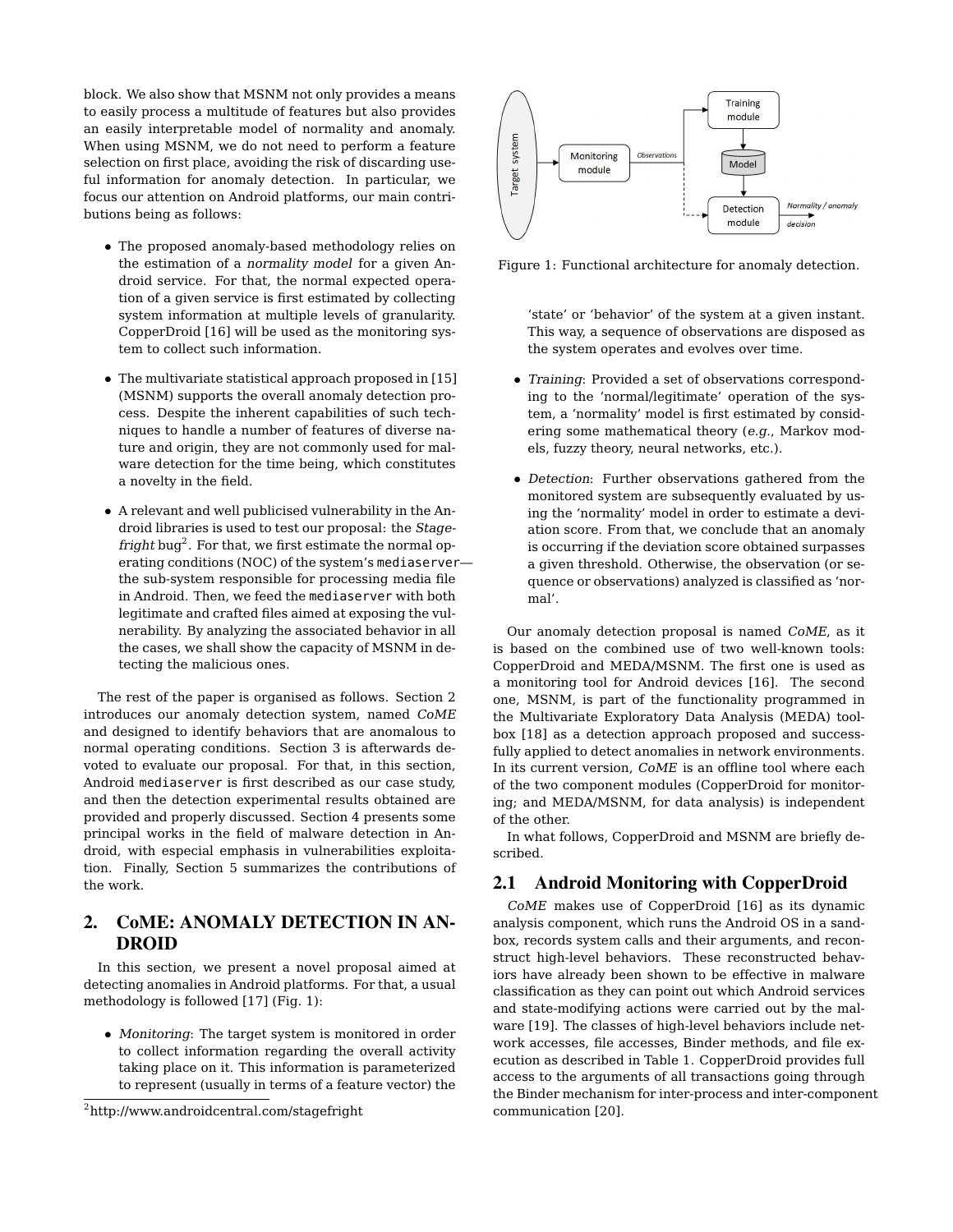block. We also show that MSNM not only provides a means to easily process a multitude of features but also provides an easily interpretable model of normality and anomaly. When using MSNM, we do not need to perform a feature selection on first place, avoiding the risk of discarding useful information for anomaly detection. In particular, we focus our attention on Android platforms, our main contributions being as follows:

- The proposed anomaly-based methodology relies on the estimation of a normality model for a given Android service. For that, the normal expected operation of a given service is first estimated by collecting system information at multiple levels of granularity. CopperDroid [16] will be used as the monitoring system to collect such information.
- The multivariate statistical approach proposed in [15] (MSNM) supports the overall anomaly detection process. Despite the inherent capabilities of such techniques to handle a number of features of diverse nature and origin, they are not commonly used for malware detection for the time being, which constitutes a novelty in the field.
- A relevant and well publicised vulnerability in the Android libraries is used to test our proposal: the Stagefright bug $^2.$  For that, we first estimate the normal operating conditions (NOC) of the system's mediaserver the sub-system responsible for processing media file in Android. Then, we feed the mediaserver with both legitimate and crafted files aimed at exposing the vulnerability. By analyzing the associated behavior in all the cases, we shall show the capacity of MSNM in detecting the malicious ones.

The rest of the paper is organised as follows. Section 2 introduces our anomaly detection system, named CoME and designed to identify behaviors that are anomalous to normal operating conditions. Section 3 is afterwards devoted to evaluate our proposal. For that, in this section, Android mediaserver is first described as our case study, and then the detection experimental results obtained are provided and properly discussed. Section 4 presents some principal works in the field of malware detection in Android, with especial emphasis in vulnerabilities exploitation. Finally, Section 5 summarizes the contributions of the work.

## 2. CoME: ANOMALY DETECTION IN AN-DROID

In this section, we present a novel proposal aimed at detecting anomalies in Android platforms. For that, a usual methodology is followed [17] (Fig. 1):

• Monitoring: The target system is monitored in order to collect information regarding the overall activity taking place on it. This information is parameterized to represent (usually in terms of a feature vector) the



Figure 1: Functional architecture for anomaly detection.

'state' or 'behavior' of the system at a given instant. This way, a sequence of observations are disposed as the system operates and evolves over time.

- Training: Provided a set of observations corresponding to the 'normal/legitimate' operation of the system, a 'normality' model is first estimated by considering some mathematical theory (e.g., Markov models, fuzzy theory, neural networks, etc.).
- Detection: Further observations gathered from the monitored system are subsequently evaluated by using the 'normality' model in order to estimate a deviation score. From that, we conclude that an anomaly is occurring if the deviation score obtained surpasses a given threshold. Otherwise, the observation (or sequence or observations) analyzed is classified as 'normal'.

Our anomaly detection proposal is named CoME, as it is based on the combined use of two well-known tools: CopperDroid and MEDA/MSNM. The first one is used as a monitoring tool for Android devices [16]. The second one, MSNM, is part of the functionality programmed in the Multivariate Exploratory Data Analysis (MEDA) toolbox [18] as a detection approach proposed and successfully applied to detect anomalies in network environments. In its current version, CoME is an offline tool where each of the two component modules (CopperDroid for monitoring; and MEDA/MSNM, for data analysis) is independent of the other.

In what follows, CopperDroid and MSNM are briefly described.

## 2.1 Android Monitoring with CopperDroid

CoME makes use of CopperDroid [16] as its dynamic analysis component, which runs the Android OS in a sandbox, records system calls and their arguments, and reconstruct high-level behaviors. These reconstructed behaviors have already been shown to be effective in malware classification as they can point out which Android services and state-modifying actions were carried out by the malware [19]. The classes of high-level behaviors include network accesses, file accesses, Binder methods, and file execution as described in Table 1. CopperDroid provides full access to the arguments of all transactions going through the Binder mechanism for inter-process and inter-component communication [20].

<sup>2</sup>http://www.androidcentral.com/stagefright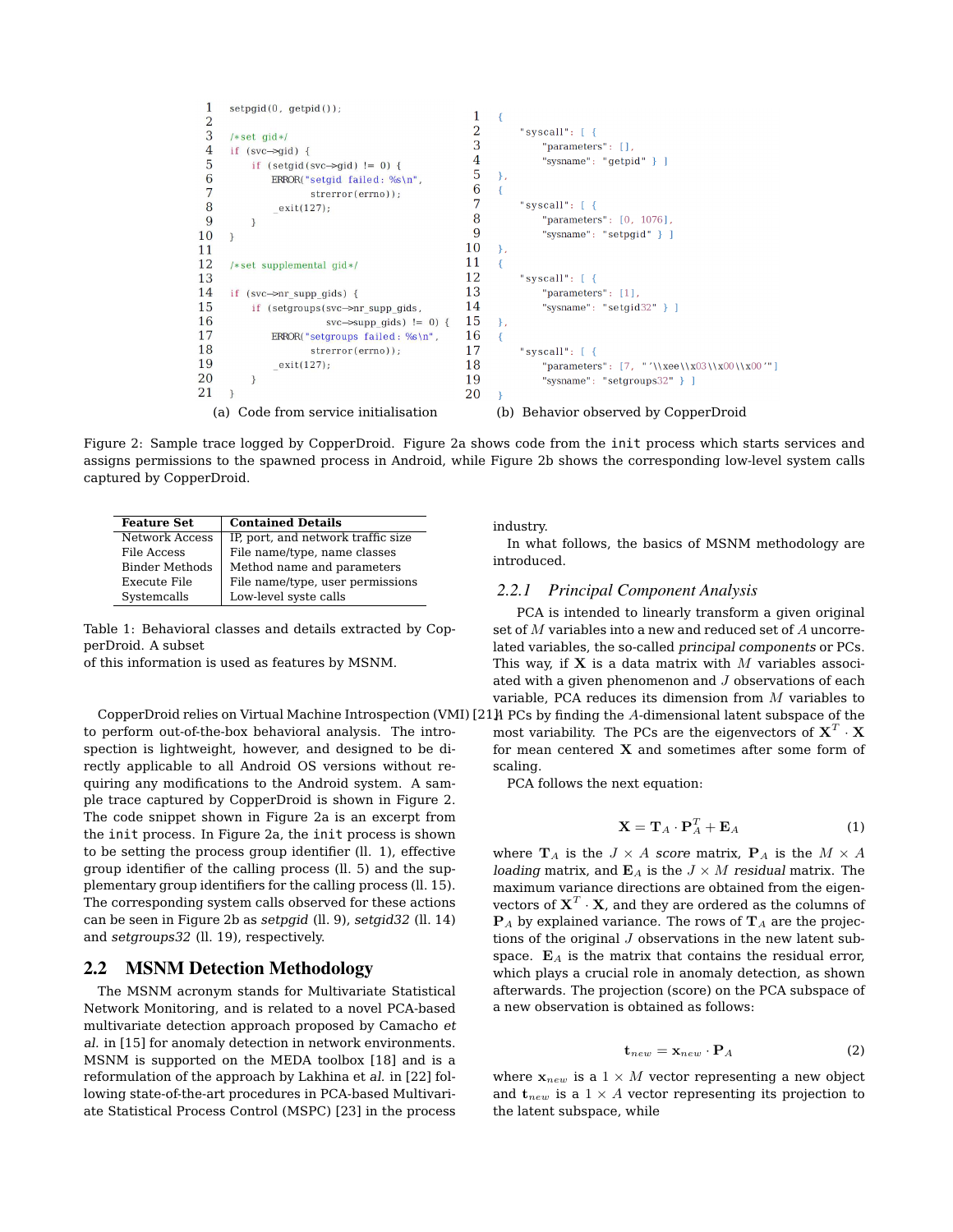

Figure 2: Sample trace logged by CopperDroid. Figure 2a shows code from the init process which starts services and assigns permissions to the spawned process in Android, while Figure 2b shows the corresponding low-level system calls captured by CopperDroid.

| <b>Feature Set</b> | <b>Contained Details</b>           | industry.                                                      |  |
|--------------------|------------------------------------|----------------------------------------------------------------|--|
| Network Access     | IP, port, and network traffic size | In what follows, the basics of MSNM methodology<br>introduced. |  |
| File Access        | File name/type, name classes       |                                                                |  |
| Binder Methods     | Method name and parameters         |                                                                |  |
| Execute File       | File name/type, user permissions   |                                                                |  |
| Systemcalls        | Low-level syste calls              | Principal Component Analysis<br>2.2.1                          |  |

Table 1: Behavioral classes and details extracted by CopperDroid. A subset

of this information is used as features by MSNM.

CopperDroid relies on Virtual Machine Introspection (VMI) [21] A PCs by finding the A-dimensional latent subspace of the to perform out-of-the-box behavioral analysis. The introspection is lightweight, however, and designed to be directly applicable to all Android OS versions without requiring any modifications to the Android system. A sample trace captured by CopperDroid is shown in Figure 2. The code snippet shown in Figure 2a is an excerpt from the init process. In Figure 2a, the init process is shown to be setting the process group identifier (ll. 1), effective group identifier of the calling process (ll. 5) and the supplementary group identifiers for the calling process (ll. 15). The corresponding system calls observed for these actions can be seen in Figure 2b as setpgid (ll. 9), setgid32 (ll. 14) and setgroups32 (ll. 19), respectively.

## 2.2 MSNM Detection Methodology

The MSNM acronym stands for Multivariate Statistical Network Monitoring, and is related to a novel PCA-based multivariate detection approach proposed by Camacho et al. in [15] for anomaly detection in network environments. MSNM is supported on the MEDA toolbox [18] and is a reformulation of the approach by Lakhina et al. in [22] following state-of-the-art procedures in PCA-based Multivariate Statistical Process Control (MSPC) [23] in the process In what follows, the basics of MSNM methodology are

PCA is intended to linearly transform a given original set of M variables into a new and reduced set of A uncorrelated variables, the so-called principal components or PCs. This way, if  $X$  is a data matrix with M variables associated with a given phenomenon and J observations of each variable, PCA reduces its dimension from  $M$  variables to

most variability. The PCs are the eigenvectors of  $\mathbf{X}^T\cdot\mathbf{X}$ for mean centered  $X$  and sometimes after some form of scaling.

PCA follows the next equation:

$$
\mathbf{X} = \mathbf{T}_A \cdot \mathbf{P}_A^T + \mathbf{E}_A \tag{1}
$$

where  $\mathbf{T}_A$  is the  $J \times A$  score matrix,  $\mathbf{P}_A$  is the  $M \times A$ loading matrix, and  $E_A$  is the  $J \times M$  residual matrix. The maximum variance directions are obtained from the eigenvectors of  $\mathbf{X}^T\cdot\mathbf{X}$ , and they are ordered as the columns of  $P_A$  by explained variance. The rows of  $T_A$  are the projections of the original  $J$  observations in the new latent subspace.  $E_A$  is the matrix that contains the residual error, which plays a crucial role in anomaly detection, as shown afterwards. The projection (score) on the PCA subspace of a new observation is obtained as follows:

$$
\mathbf{t}_{new} = \mathbf{x}_{new} \cdot \mathbf{P}_A \tag{2}
$$

where  $\mathbf{x}_{new}$  is a  $1 \times M$  vector representing a new object and  $t_{new}$  is a  $1 \times A$  vector representing its projection to the latent subspace, while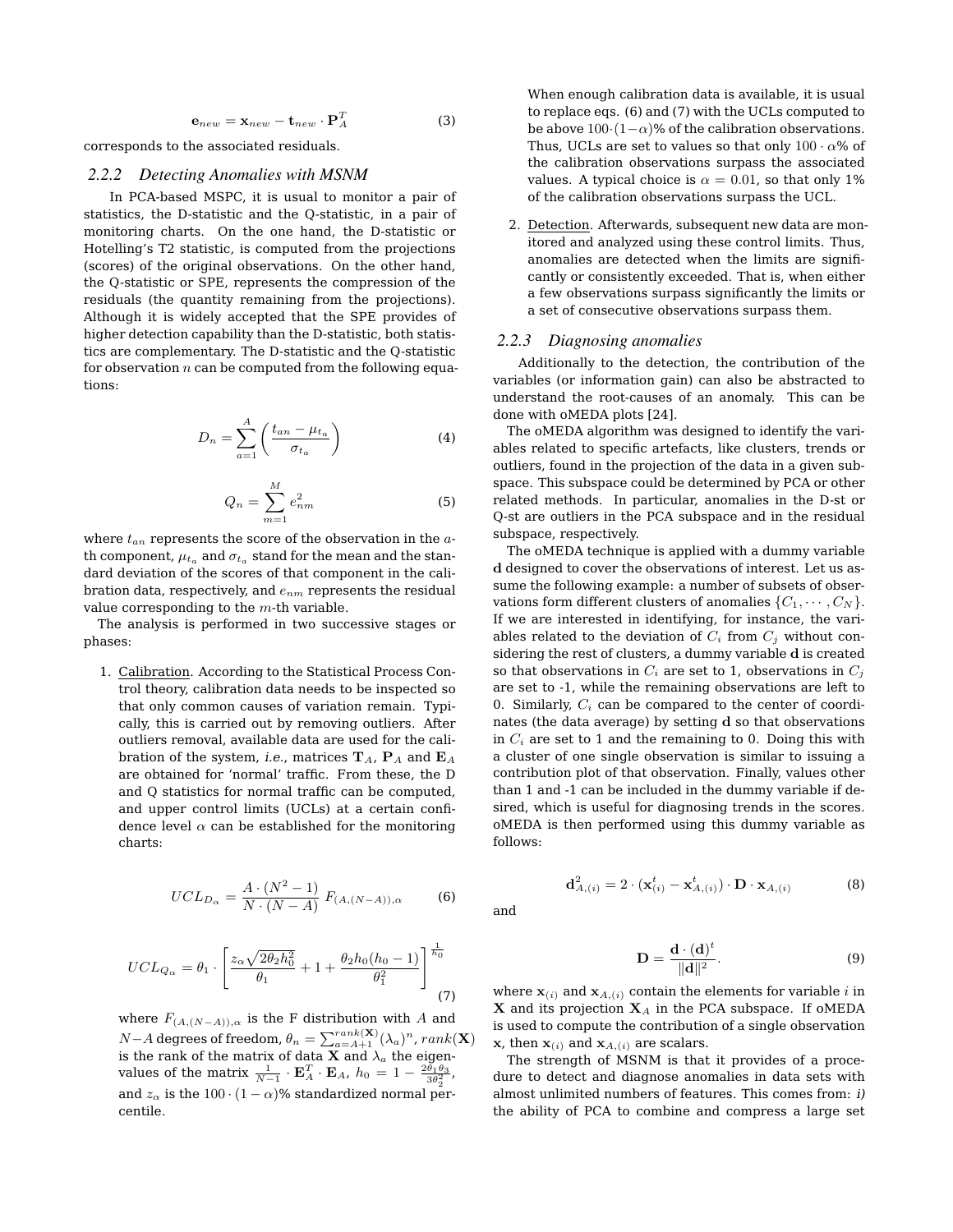$$
\mathbf{e}_{new} = \mathbf{x}_{new} - \mathbf{t}_{new} \cdot \mathbf{P}_A^T \tag{3}
$$

corresponds to the associated residuals.

#### *2.2.2 Detecting Anomalies with MSNM*

In PCA-based MSPC, it is usual to monitor a pair of statistics, the D-statistic and the Q-statistic, in a pair of monitoring charts. On the one hand, the D-statistic or Hotelling's T2 statistic, is computed from the projections (scores) of the original observations. On the other hand, the Q-statistic or SPE, represents the compression of the residuals (the quantity remaining from the projections). Although it is widely accepted that the SPE provides of higher detection capability than the D-statistic, both statistics are complementary. The D-statistic and the Q-statistic for observation  $n$  can be computed from the following equations:

$$
D_n = \sum_{a=1}^{A} \left( \frac{t_{an} - \mu_{t_a}}{\sigma_{t_a}} \right)
$$
 (4)

$$
Q_n = \sum_{m=1}^{M} e_{nm}^2
$$
\n<sup>(5)</sup>

where  $t_{an}$  represents the score of the observation in the  $a$ th component,  $\mu_{t_a}$  and  $\sigma_{t_a}$  stand for the mean and the standard deviation of the scores of that component in the calibration data, respectively, and  $e_{nm}$  represents the residual value corresponding to the  $m$ -th variable.

The analysis is performed in two successive stages or phases:

1. Calibration. According to the Statistical Process Control theory, calibration data needs to be inspected so that only common causes of variation remain. Typically, this is carried out by removing outliers. After outliers removal, available data are used for the calibration of the system, i.e., matrices  $T_A$ ,  $P_A$  and  $E_A$ are obtained for 'normal' traffic. From these, the D and Q statistics for normal traffic can be computed, and upper control limits (UCLs) at a certain confidence level  $\alpha$  can be established for the monitoring charts:

$$
UCL_{D_{\alpha}} = \frac{A \cdot (N^2 - 1)}{N \cdot (N - A)} F_{(A,(N - A)),\alpha}
$$
 (6)

$$
UCL_{Q_{\alpha}} = \theta_1 \cdot \left[ \frac{z_{\alpha} \sqrt{2\theta_2 h_0^2}}{\theta_1} + 1 + \frac{\theta_2 h_0 (h_0 - 1)}{\theta_1^2} \right]^{\frac{1}{h_0}} \tag{7}
$$

where  $F_{(A,(N-A)),\alpha}$  is the F distribution with A and  $N{-}A$  degrees of freedom,  $\theta_n = \sum_{a=A+1}^{rank({\bf X})} (\lambda_a)^n$  ,  $rank({\bf X})$ is the rank of the matrix of data  $\mathbf X$  and  $\lambda_a$  the eigenvalues of the matrix  $\frac{1}{N-1} \cdot \mathbf{E}_A^T \cdot \mathbf{E}_A$ ,  $h_0 = 1 - \frac{2\theta_1 \theta_3}{3\theta_2^2}$ , and  $z_\alpha$  is the 100 ·  $(1 - \alpha)$ % standardized normal percentile.

When enough calibration data is available, it is usual to replace eqs. (6) and (7) with the UCLs computed to be above  $100·(1-\alpha)$ % of the calibration observations. Thus, UCLs are set to values so that only  $100 \cdot \alpha\%$  of the calibration observations surpass the associated values. A typical choice is  $\alpha = 0.01$ , so that only 1% of the calibration observations surpass the UCL.

2. Detection. Afterwards, subsequent new data are monitored and analyzed using these control limits. Thus, anomalies are detected when the limits are significantly or consistently exceeded. That is, when either a few observations surpass significantly the limits or a set of consecutive observations surpass them.

#### *2.2.3 Diagnosing anomalies*

Additionally to the detection, the contribution of the variables (or information gain) can also be abstracted to understand the root-causes of an anomaly. This can be done with oMEDA plots [24].

The oMEDA algorithm was designed to identify the variables related to specific artefacts, like clusters, trends or outliers, found in the projection of the data in a given subspace. This subspace could be determined by PCA or other related methods. In particular, anomalies in the D-st or Q-st are outliers in the PCA subspace and in the residual subspace, respectively.

The oMEDA technique is applied with a dummy variable d designed to cover the observations of interest. Let us assume the following example: a number of subsets of observations form different clusters of anomalies  $\{C_1, \dots, C_N\}$ . If we are interested in identifying, for instance, the variables related to the deviation of  $C_i$  from  $C_j$  without considering the rest of clusters, a dummy variable d is created so that observations in  $C_i$  are set to 1, observations in  $C_i$ are set to -1, while the remaining observations are left to 0. Similarly,  $C_i$  can be compared to the center of coordinates (the data average) by setting d so that observations in  $C_i$  are set to 1 and the remaining to 0. Doing this with a cluster of one single observation is similar to issuing a contribution plot of that observation. Finally, values other than 1 and -1 can be included in the dummy variable if desired, which is useful for diagnosing trends in the scores. oMEDA is then performed using this dummy variable as follows:

and

$$
\mathbf{d}_{A,(i)}^2 = 2 \cdot (\mathbf{x}_{(i)}^t - \mathbf{x}_{A,(i)}^t) \cdot \mathbf{D} \cdot \mathbf{x}_{A,(i)} \tag{8}
$$

$$
\mathbf{D} = \frac{\mathbf{d} \cdot (\mathbf{d})^t}{\|\mathbf{d}\|^2}.
$$
 (9)

where  $\mathbf{x}_{(i)}$  and  $\mathbf{x}_{A,(i)}$  contain the elements for variable i in  $X$  and its projection  $X_A$  in the PCA subspace. If oMEDA is used to compute the contribution of a single observation **x**, then  $\mathbf{x}_{(i)}$  and  $\mathbf{x}_{A,(i)}$  are scalars.

The strength of MSNM is that it provides of a procedure to detect and diagnose anomalies in data sets with almost unlimited numbers of features. This comes from: i) the ability of PCA to combine and compress a large set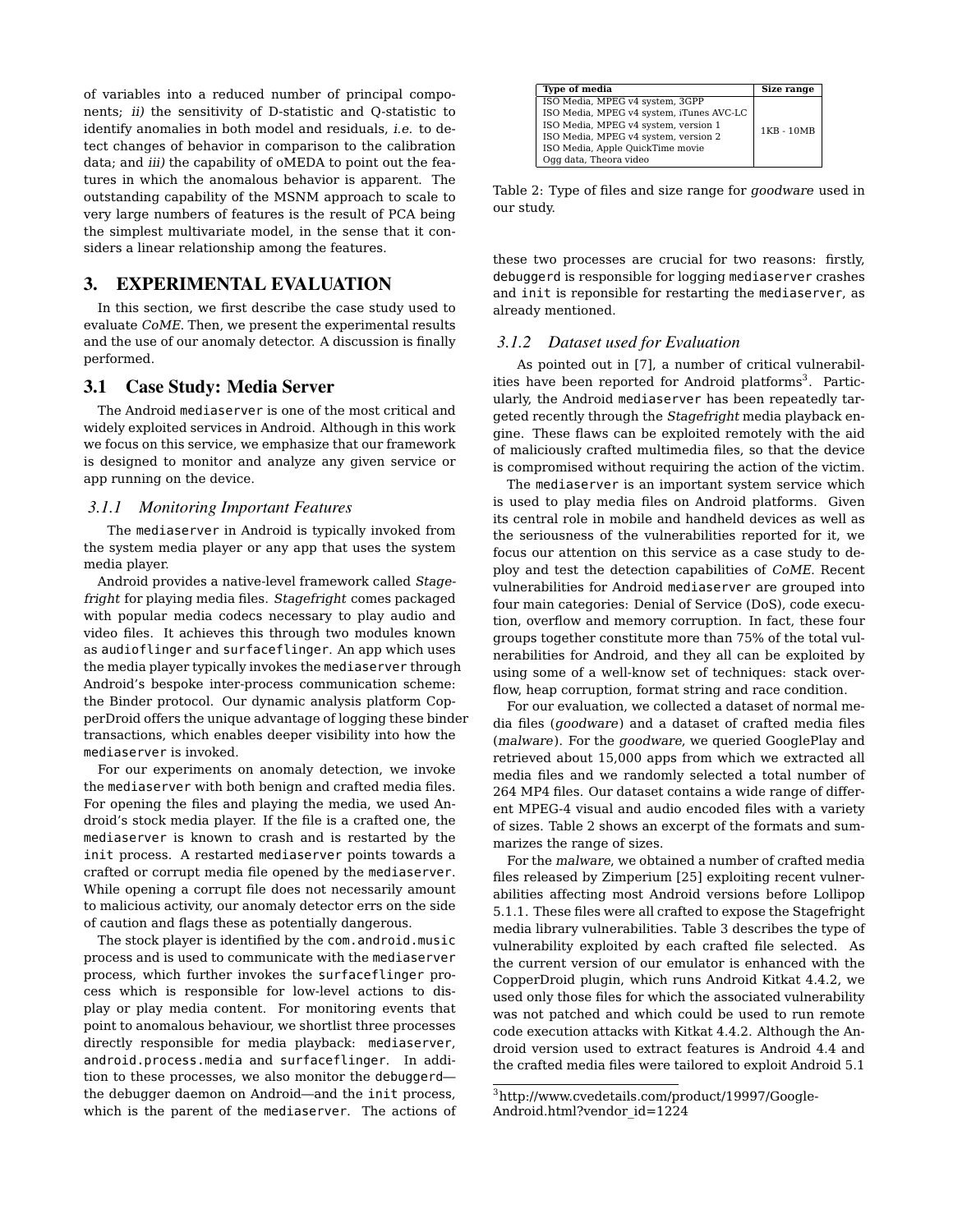of variables into a reduced number of principal components; ii) the sensitivity of D-statistic and Q-statistic to identify anomalies in both model and residuals, i.e. to detect changes of behavior in comparison to the calibration data; and *iii*) the capability of oMEDA to point out the features in which the anomalous behavior is apparent. The outstanding capability of the MSNM approach to scale to very large numbers of features is the result of PCA being the simplest multivariate model, in the sense that it considers a linear relationship among the features.

# 3. EXPERIMENTAL EVALUATION

In this section, we first describe the case study used to evaluate CoME. Then, we present the experimental results and the use of our anomaly detector. A discussion is finally performed.

## 3.1 Case Study: Media Server

The Android mediaserver is one of the most critical and widely exploited services in Android. Although in this work we focus on this service, we emphasize that our framework is designed to monitor and analyze any given service or app running on the device.

#### *3.1.1 Monitoring Important Features*

The mediaserver in Android is typically invoked from the system media player or any app that uses the system media player.

Android provides a native-level framework called Stagefright for playing media files. Stagefright comes packaged with popular media codecs necessary to play audio and video files. It achieves this through two modules known as audioflinger and surfaceflinger. An app which uses the media player typically invokes the mediaserver through Android's bespoke inter-process communication scheme: the Binder protocol. Our dynamic analysis platform CopperDroid offers the unique advantage of logging these binder transactions, which enables deeper visibility into how the mediaserver is invoked.

For our experiments on anomaly detection, we invoke the mediaserver with both benign and crafted media files. For opening the files and playing the media, we used Android's stock media player. If the file is a crafted one, the mediaserver is known to crash and is restarted by the init process. A restarted mediaserver points towards a crafted or corrupt media file opened by the mediaserver. While opening a corrupt file does not necessarily amount to malicious activity, our anomaly detector errs on the side of caution and flags these as potentially dangerous.

The stock player is identified by the com.android.music process and is used to communicate with the mediaserver process, which further invokes the surfaceflinger process which is responsible for low-level actions to display or play media content. For monitoring events that point to anomalous behaviour, we shortlist three processes directly responsible for media playback: mediaserver, android.process.media and surfaceflinger. In addition to these processes, we also monitor the debuggerd the debugger daemon on Android—and the init process, which is the parent of the mediaserver. The actions of

| <b>Type of media</b>                     | Size range   |
|------------------------------------------|--------------|
| ISO Media, MPEG v4 system, 3GPP          |              |
| ISO Media, MPEG v4 system, iTunes AVC-LC |              |
| ISO Media, MPEG v4 system, version 1     | $1KB - 10MB$ |
| ISO Media, MPEG v4 system, version 2     |              |
| ISO Media, Apple QuickTime movie         |              |
| Ogg data, Theora video                   |              |

Table 2: Type of files and size range for goodware used in our study.

these two processes are crucial for two reasons: firstly, debuggerd is responsible for logging mediaserver crashes and init is reponsible for restarting the mediaserver, as already mentioned.

## *3.1.2 Dataset used for Evaluation*

As pointed out in [7], a number of critical vulnerabilities have been reported for Android platforms<sup>3</sup>. Particularly, the Android mediaserver has been repeatedly targeted recently through the Stagefright media playback engine. These flaws can be exploited remotely with the aid of maliciously crafted multimedia files, so that the device is compromised without requiring the action of the victim.

The mediaserver is an important system service which is used to play media files on Android platforms. Given its central role in mobile and handheld devices as well as the seriousness of the vulnerabilities reported for it, we focus our attention on this service as a case study to deploy and test the detection capabilities of CoME. Recent vulnerabilities for Android mediaserver are grouped into four main categories: Denial of Service (DoS), code execution, overflow and memory corruption. In fact, these four groups together constitute more than 75% of the total vulnerabilities for Android, and they all can be exploited by using some of a well-know set of techniques: stack overflow, heap corruption, format string and race condition.

For our evaluation, we collected a dataset of normal media files (goodware) and a dataset of crafted media files (malware). For the goodware, we queried GooglePlay and retrieved about 15,000 apps from which we extracted all media files and we randomly selected a total number of 264 MP4 files. Our dataset contains a wide range of different MPEG-4 visual and audio encoded files with a variety of sizes. Table 2 shows an excerpt of the formats and summarizes the range of sizes.

For the malware, we obtained a number of crafted media files released by Zimperium [25] exploiting recent vulnerabilities affecting most Android versions before Lollipop 5.1.1. These files were all crafted to expose the Stagefright media library vulnerabilities. Table 3 describes the type of vulnerability exploited by each crafted file selected. As the current version of our emulator is enhanced with the CopperDroid plugin, which runs Android Kitkat 4.4.2, we used only those files for which the associated vulnerability was not patched and which could be used to run remote code execution attacks with Kitkat 4.4.2. Although the Android version used to extract features is Android 4.4 and the crafted media files were tailored to exploit Android 5.1

<sup>3</sup>http://www.cvedetails.com/product/19997/Google-Android.html?vendor\_id=1224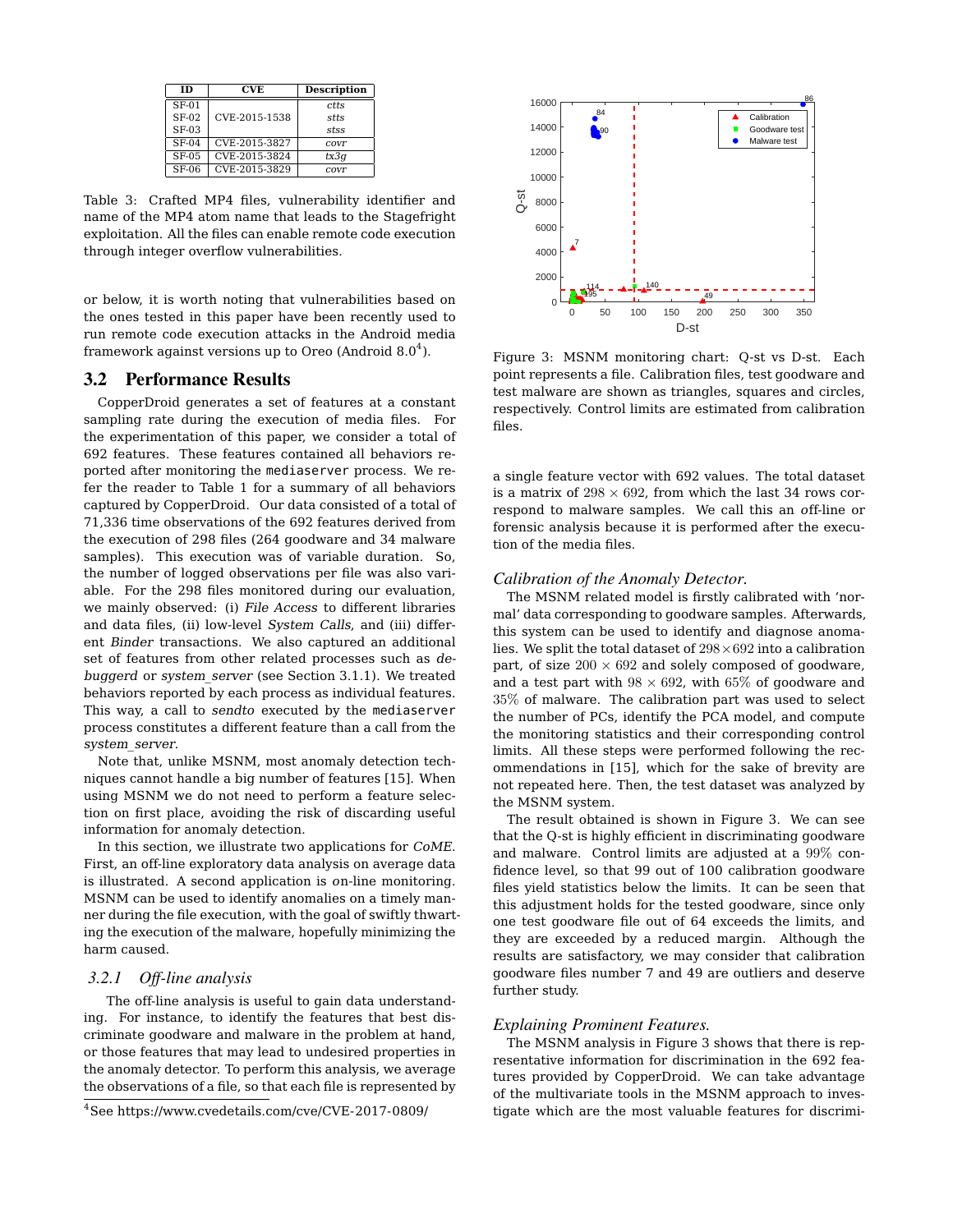| ID           | <b>CVE</b>    | <b>Description</b> |
|--------------|---------------|--------------------|
| $SF-01$      |               | ctts               |
| SF-02        | CVE-2015-1538 | stts               |
| SF-03        |               | stss               |
| $SF-04$      | CVE-2015-3827 | covr               |
| <b>SF-05</b> | CVE-2015-3824 | tx3a               |
| $SF-06$      | CVE-2015-3829 | covr               |

Table 3: Crafted MP4 files, vulnerability identifier and name of the MP4 atom name that leads to the Stagefright exploitation. All the files can enable remote code execution through integer overflow vulnerabilities.

or below, it is worth noting that vulnerabilities based on the ones tested in this paper have been recently used to run remote code execution attacks in the Android media framework against versions up to Oreo (Android  $8.0<sup>4</sup>$ ).

## 3.2 Performance Results

CopperDroid generates a set of features at a constant sampling rate during the execution of media files. For the experimentation of this paper, we consider a total of 692 features. These features contained all behaviors reported after monitoring the mediaserver process. We refer the reader to Table 1 for a summary of all behaviors captured by CopperDroid. Our data consisted of a total of 71,336 time observations of the 692 features derived from the execution of 298 files (264 goodware and 34 malware samples). This execution was of variable duration. So, the number of logged observations per file was also variable. For the 298 files monitored during our evaluation, we mainly observed: (i) File Access to different libraries and data files, (ii) low-level System Calls, and (iii) different Binder transactions. We also captured an additional set of features from other related processes such as debuggerd or system\_server (see Section 3.1.1). We treated behaviors reported by each process as individual features. This way, a call to sendto executed by the mediaserver process constitutes a different feature than a call from the system\_server.

Note that, unlike MSNM, most anomaly detection techniques cannot handle a big number of features [15]. When using MSNM we do not need to perform a feature selection on first place, avoiding the risk of discarding useful information for anomaly detection.

In this section, we illustrate two applications for CoME. First, an off-line exploratory data analysis on average data is illustrated. A second application is on-line monitoring. MSNM can be used to identify anomalies on a timely manner during the file execution, with the goal of swiftly thwarting the execution of the malware, hopefully minimizing the harm caused.

#### *3.2.1 Off-line analysis*

The off-line analysis is useful to gain data understanding. For instance, to identify the features that best discriminate goodware and malware in the problem at hand, or those features that may lead to undesired properties in the anomaly detector. To perform this analysis, we average the observations of a file, so that each file is represented by



Figure 3: MSNM monitoring chart: Q-st vs D-st. Each point represents a file. Calibration files, test goodware and test malware are shown as triangles, squares and circles, respectively. Control limits are estimated from calibration files.

a single feature vector with 692 values. The total dataset is a matrix of  $298 \times 692$ , from which the last 34 rows correspond to malware samples. We call this an off-line or forensic analysis because it is performed after the execution of the media files.

#### *Calibration of the Anomaly Detector.*

The MSNM related model is firstly calibrated with 'normal' data corresponding to goodware samples. Afterwards, this system can be used to identify and diagnose anomalies. We split the total dataset of  $298 \times 692$  into a calibration part, of size  $200 \times 692$  and solely composed of goodware, and a test part with  $98 \times 692$ , with  $65\%$  of goodware and 35% of malware. The calibration part was used to select the number of PCs, identify the PCA model, and compute the monitoring statistics and their corresponding control limits. All these steps were performed following the recommendations in [15], which for the sake of brevity are not repeated here. Then, the test dataset was analyzed by the MSNM system.

The result obtained is shown in Figure 3. We can see that the Q-st is highly efficient in discriminating goodware and malware. Control limits are adjusted at a 99% confidence level, so that 99 out of 100 calibration goodware files yield statistics below the limits. It can be seen that this adjustment holds for the tested goodware, since only one test goodware file out of 64 exceeds the limits, and they are exceeded by a reduced margin. Although the results are satisfactory, we may consider that calibration goodware files number 7 and 49 are outliers and deserve further study.

#### *Explaining Prominent Features.*

The MSNM analysis in Figure 3 shows that there is representative information for discrimination in the 692 features provided by CopperDroid. We can take advantage of the multivariate tools in the MSNM approach to investigate which are the most valuable features for discrimi-

<sup>4</sup>See https://www.cvedetails.com/cve/CVE-2017-0809/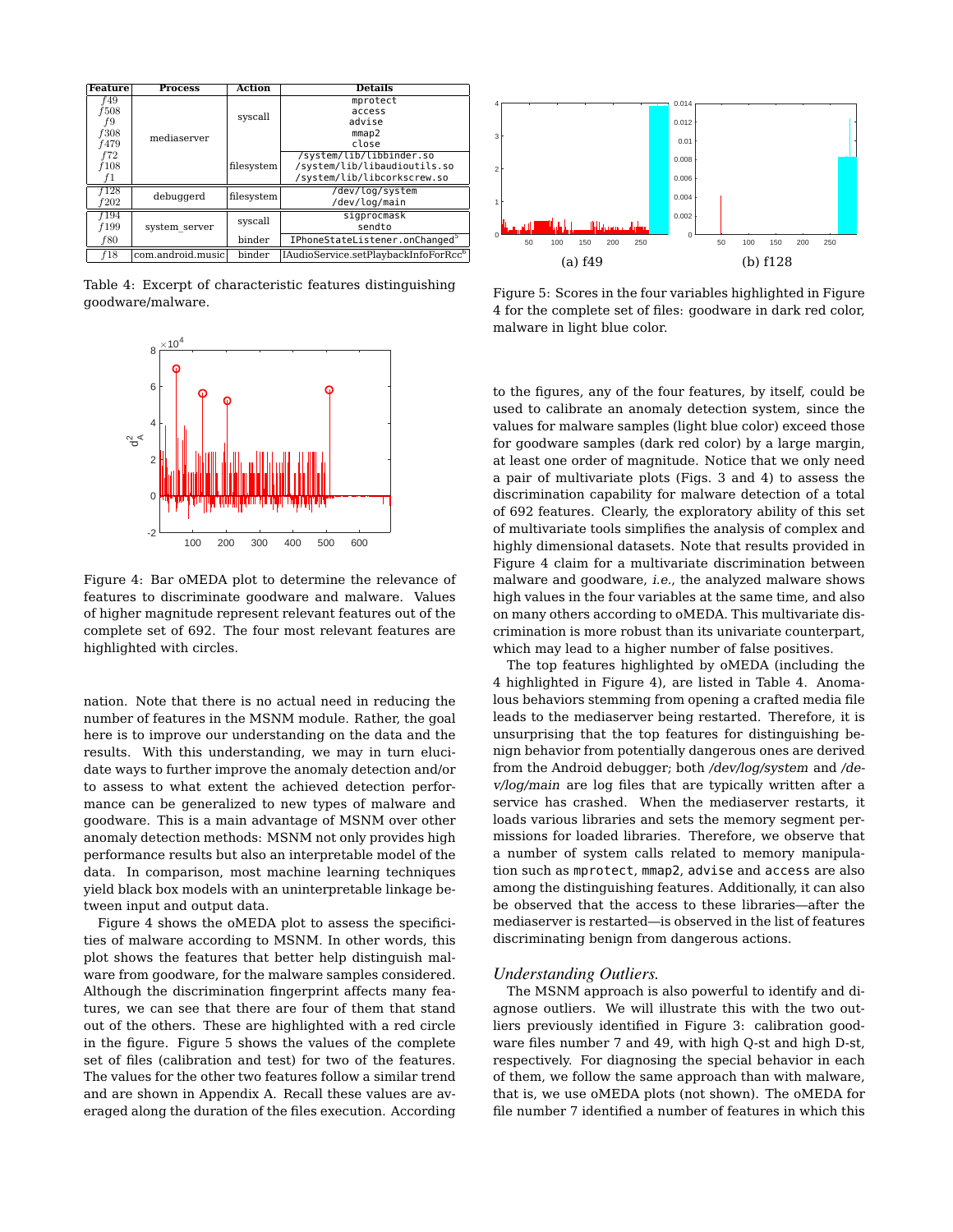| <b>Feature</b> | <b>Process</b>    | <b>Action</b> | <b>Details</b>                                   |
|----------------|-------------------|---------------|--------------------------------------------------|
| °49            |                   |               | mprotect                                         |
| f508           | mediaserver       | syscall       | access                                           |
| f9             |                   |               | advise                                           |
| f308           |                   |               | mmap2                                            |
| f479           |                   |               | close                                            |
| f 72           |                   |               | /system/lib/libbinder.so                         |
| f 108          |                   | filesystem    | /system/lib/libaudioutils.so                     |
|                |                   |               | /system/lib/libcorkscrew.so                      |
| f128           | debuggerd         | filesystem    | /dev/log/system                                  |
| f202           |                   |               | /dev/log/main                                    |
| f 194          |                   | syscall       | sigprocmask                                      |
| f199           | system server     |               | sendto                                           |
| f80            |                   | binder        | IPhoneStateListener.onChanged <sup>5</sup>       |
| f18            | com.android.music | binder        | IAudioService.setPlaybackInfoForRcc <sup>b</sup> |

Table 4: Excerpt of characteristic features distinguishing goodware/malware.



Figure 4: Bar oMEDA plot to determine the relevance of features to discriminate goodware and malware. Values of higher magnitude represent relevant features out of the complete set of 692. The four most relevant features are highlighted with circles.

nation. Note that there is no actual need in reducing the number of features in the MSNM module. Rather, the goal here is to improve our understanding on the data and the results. With this understanding, we may in turn elucidate ways to further improve the anomaly detection and/or to assess to what extent the achieved detection performance can be generalized to new types of malware and goodware. This is a main advantage of MSNM over other anomaly detection methods: MSNM not only provides high performance results but also an interpretable model of the data. In comparison, most machine learning techniques yield black box models with an uninterpretable linkage between input and output data.

Figure 4 shows the oMEDA plot to assess the specificities of malware according to MSNM. In other words, this plot shows the features that better help distinguish malware from goodware, for the malware samples considered. Although the discrimination fingerprint affects many features, we can see that there are four of them that stand out of the others. These are highlighted with a red circle in the figure. Figure 5 shows the values of the complete set of files (calibration and test) for two of the features. The values for the other two features follow a similar trend and are shown in Appendix A. Recall these values are averaged along the duration of the files execution. According



Figure 5: Scores in the four variables highlighted in Figure 4 for the complete set of files: goodware in dark red color, malware in light blue color.

to the figures, any of the four features, by itself, could be used to calibrate an anomaly detection system, since the values for malware samples (light blue color) exceed those for goodware samples (dark red color) by a large margin, at least one order of magnitude. Notice that we only need a pair of multivariate plots (Figs. 3 and 4) to assess the discrimination capability for malware detection of a total of 692 features. Clearly, the exploratory ability of this set of multivariate tools simplifies the analysis of complex and highly dimensional datasets. Note that results provided in Figure 4 claim for a multivariate discrimination between malware and goodware, i.e., the analyzed malware shows high values in the four variables at the same time, and also on many others according to oMEDA. This multivariate discrimination is more robust than its univariate counterpart, which may lead to a higher number of false positives.

The top features highlighted by oMEDA (including the 4 highlighted in Figure 4), are listed in Table 4. Anomalous behaviors stemming from opening a crafted media file leads to the mediaserver being restarted. Therefore, it is unsurprising that the top features for distinguishing benign behavior from potentially dangerous ones are derived from the Android debugger; both /dev/log/system and /dev/log/main are log files that are typically written after a service has crashed. When the mediaserver restarts, it loads various libraries and sets the memory segment permissions for loaded libraries. Therefore, we observe that a number of system calls related to memory manipulation such as mprotect, mmap2, advise and access are also among the distinguishing features. Additionally, it can also be observed that the access to these libraries—after the mediaserver is restarted—is observed in the list of features discriminating benign from dangerous actions.

### *Understanding Outliers.*

The MSNM approach is also powerful to identify and diagnose outliers. We will illustrate this with the two outliers previously identified in Figure 3: calibration goodware files number 7 and 49, with high Q-st and high D-st, respectively. For diagnosing the special behavior in each of them, we follow the same approach than with malware, that is, we use oMEDA plots (not shown). The oMEDA for file number 7 identified a number of features in which this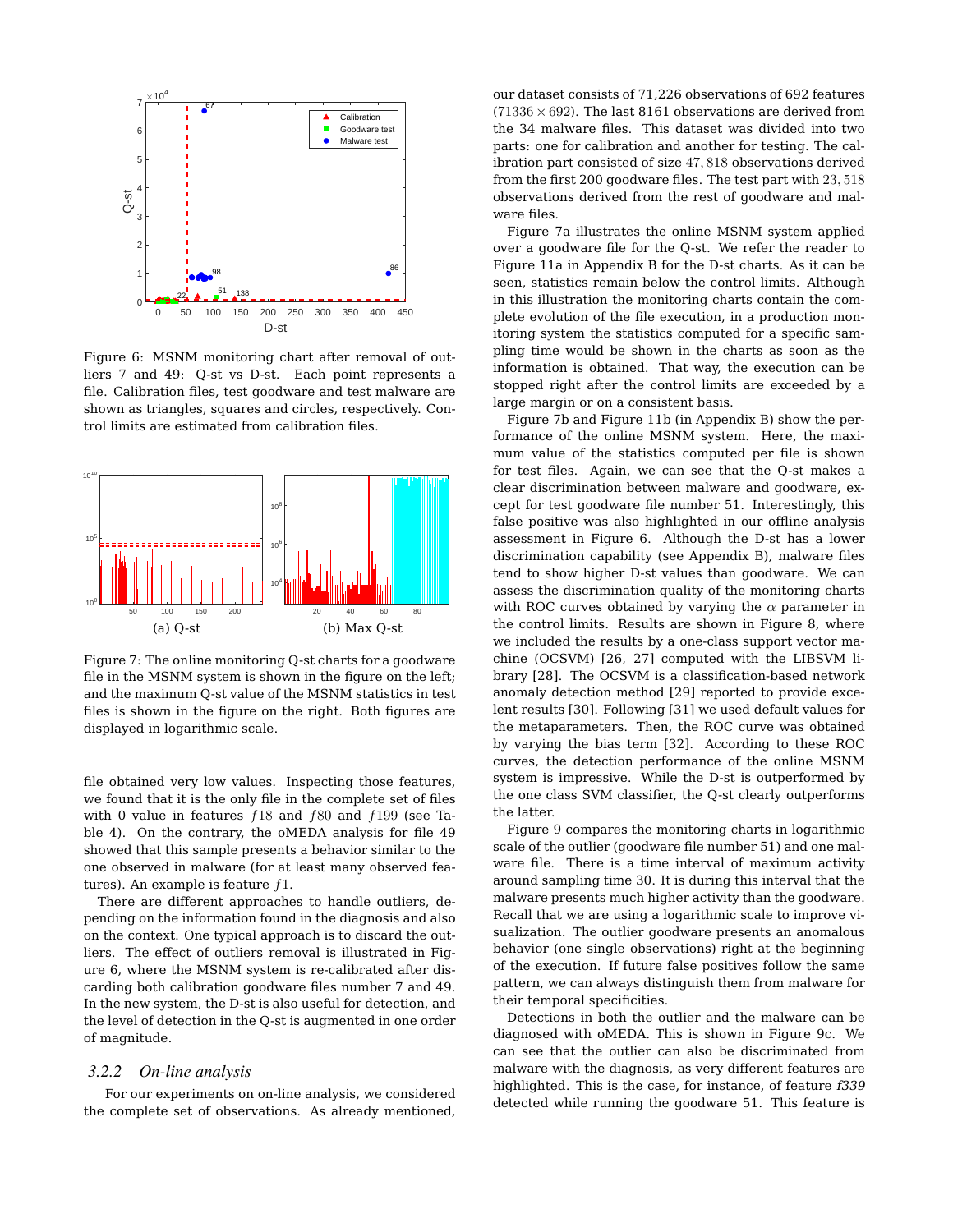

Figure 6: MSNM monitoring chart after removal of outliers 7 and 49: Q-st vs D-st. Each point represents a file. Calibration files, test goodware and test malware are shown as triangles, squares and circles, respectively. Control limits are estimated from calibration files.



Figure 7: The online monitoring Q-st charts for a goodware file in the MSNM system is shown in the figure on the left; and the maximum Q-st value of the MSNM statistics in test files is shown in the figure on the right. Both figures are displayed in logarithmic scale.

file obtained very low values. Inspecting those features, we found that it is the only file in the complete set of files with 0 value in features  $f18$  and  $f80$  and  $f199$  (see Table 4). On the contrary, the oMEDA analysis for file 49 showed that this sample presents a behavior similar to the one observed in malware (for at least many observed features). An example is feature  $f1$ .

There are different approaches to handle outliers, depending on the information found in the diagnosis and also on the context. One typical approach is to discard the outliers. The effect of outliers removal is illustrated in Figure 6, where the MSNM system is re-calibrated after discarding both calibration goodware files number 7 and 49. In the new system, the D-st is also useful for detection, and the level of detection in the Q-st is augmented in one order of magnitude.

#### *3.2.2 On-line analysis*

For our experiments on on-line analysis, we considered the complete set of observations. As already mentioned,

our dataset consists of 71,226 observations of 692 features (71336  $\times$  692). The last 8161 observations are derived from the 34 malware files. This dataset was divided into two parts: one for calibration and another for testing. The calibration part consisted of size 47, 818 observations derived from the first 200 goodware files. The test part with 23, 518 observations derived from the rest of goodware and malware files.

Figure 7a illustrates the online MSNM system applied over a goodware file for the Q-st. We refer the reader to Figure 11a in Appendix B for the D-st charts. As it can be seen, statistics remain below the control limits. Although in this illustration the monitoring charts contain the complete evolution of the file execution, in a production monitoring system the statistics computed for a specific sampling time would be shown in the charts as soon as the information is obtained. That way, the execution can be stopped right after the control limits are exceeded by a large margin or on a consistent basis.

Figure 7b and Figure 11b (in Appendix B) show the performance of the online MSNM system. Here, the maximum value of the statistics computed per file is shown for test files. Again, we can see that the Q-st makes a clear discrimination between malware and goodware, except for test goodware file number 51. Interestingly, this false positive was also highlighted in our offline analysis assessment in Figure 6. Although the D-st has a lower discrimination capability (see Appendix B), malware files tend to show higher D-st values than goodware. We can assess the discrimination quality of the monitoring charts with ROC curves obtained by varying the  $\alpha$  parameter in the control limits. Results are shown in Figure 8, where we included the results by a one-class support vector machine (OCSVM) [26, 27] computed with the LIBSVM library [28]. The OCSVM is a classification-based network anomaly detection method [29] reported to provide excelent results [30]. Following [31] we used default values for the metaparameters. Then, the ROC curve was obtained by varying the bias term [32]. According to these ROC curves, the detection performance of the online MSNM system is impressive. While the D-st is outperformed by the one class SVM classifier, the Q-st clearly outperforms the latter.

Figure 9 compares the monitoring charts in logarithmic scale of the outlier (goodware file number 51) and one malware file. There is a time interval of maximum activity around sampling time 30. It is during this interval that the malware presents much higher activity than the goodware. Recall that we are using a logarithmic scale to improve visualization. The outlier goodware presents an anomalous behavior (one single observations) right at the beginning of the execution. If future false positives follow the same pattern, we can always distinguish them from malware for their temporal specificities.

Detections in both the outlier and the malware can be diagnosed with oMEDA. This is shown in Figure 9c. We can see that the outlier can also be discriminated from malware with the diagnosis, as very different features are highlighted. This is the case, for instance, of feature f339 detected while running the goodware 51. This feature is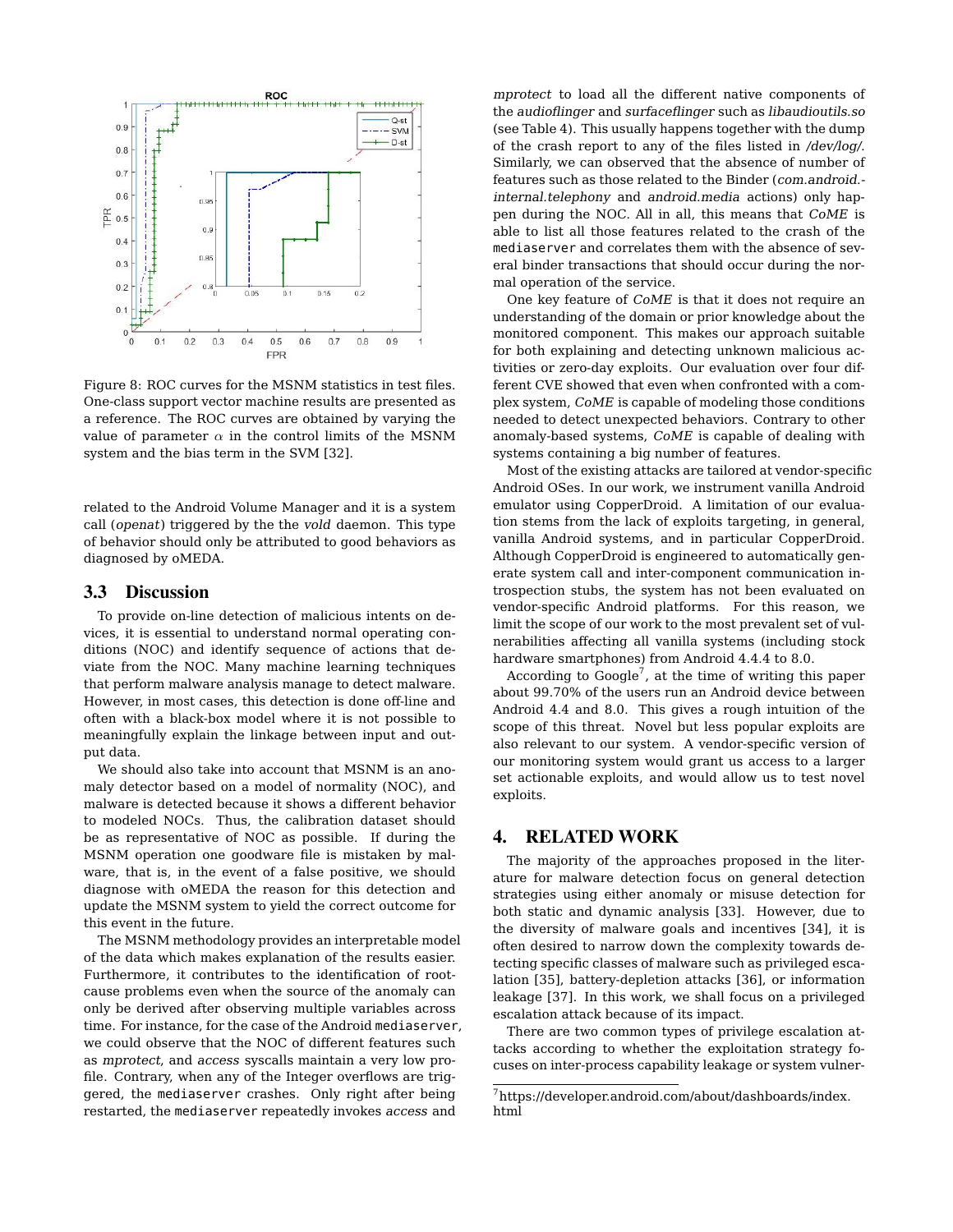

Figure 8: ROC curves for the MSNM statistics in test files. One-class support vector machine results are presented as a reference. The ROC curves are obtained by varying the value of parameter  $\alpha$  in the control limits of the MSNM system and the bias term in the SVM [32].

related to the Android Volume Manager and it is a system call (openat) triggered by the the vold daemon. This type of behavior should only be attributed to good behaviors as diagnosed by oMEDA.

## 3.3 Discussion

To provide on-line detection of malicious intents on devices, it is essential to understand normal operating conditions (NOC) and identify sequence of actions that deviate from the NOC. Many machine learning techniques that perform malware analysis manage to detect malware. However, in most cases, this detection is done off-line and often with a black-box model where it is not possible to meaningfully explain the linkage between input and output data.

We should also take into account that MSNM is an anomaly detector based on a model of normality (NOC), and malware is detected because it shows a different behavior to modeled NOCs. Thus, the calibration dataset should be as representative of NOC as possible. If during the MSNM operation one goodware file is mistaken by malware, that is, in the event of a false positive, we should diagnose with oMEDA the reason for this detection and update the MSNM system to yield the correct outcome for this event in the future.

The MSNM methodology provides an interpretable model of the data which makes explanation of the results easier. Furthermore, it contributes to the identification of rootcause problems even when the source of the anomaly can only be derived after observing multiple variables across time. For instance, for the case of the Android mediaserver, we could observe that the NOC of different features such as mprotect, and access syscalls maintain a very low profile. Contrary, when any of the Integer overflows are triggered, the mediaserver crashes. Only right after being restarted, the mediaserver repeatedly invokes access and

mprotect to load all the different native components of the audioflinger and surfaceflinger such as libaudioutils.so (see Table 4). This usually happens together with the dump of the crash report to any of the files listed in /dev/log/. Similarly, we can observed that the absence of number of features such as those related to the Binder (com.android. internal.telephony and android.media actions) only happen during the NOC. All in all, this means that CoME is able to list all those features related to the crash of the mediaserver and correlates them with the absence of several binder transactions that should occur during the normal operation of the service.

One key feature of CoME is that it does not require an understanding of the domain or prior knowledge about the monitored component. This makes our approach suitable for both explaining and detecting unknown malicious activities or zero-day exploits. Our evaluation over four different CVE showed that even when confronted with a complex system, CoME is capable of modeling those conditions needed to detect unexpected behaviors. Contrary to other anomaly-based systems, CoME is capable of dealing with systems containing a big number of features.

Most of the existing attacks are tailored at vendor-specific Android OSes. In our work, we instrument vanilla Android emulator using CopperDroid. A limitation of our evaluation stems from the lack of exploits targeting, in general, vanilla Android systems, and in particular CopperDroid. Although CopperDroid is engineered to automatically generate system call and inter-component communication introspection stubs, the system has not been evaluated on vendor-specific Android platforms. For this reason, we limit the scope of our work to the most prevalent set of vulnerabilities affecting all vanilla systems (including stock hardware smartphones) from Android 4.4.4 to 8.0.

According to Google<sup>7</sup>, at the time of writing this paper about 99.70% of the users run an Android device between Android 4.4 and 8.0. This gives a rough intuition of the scope of this threat. Novel but less popular exploits are also relevant to our system. A vendor-specific version of our monitoring system would grant us access to a larger set actionable exploits, and would allow us to test novel exploits.

## 4. RELATED WORK

The majority of the approaches proposed in the literature for malware detection focus on general detection strategies using either anomaly or misuse detection for both static and dynamic analysis [33]. However, due to the diversity of malware goals and incentives [34], it is often desired to narrow down the complexity towards detecting specific classes of malware such as privileged escalation [35], battery-depletion attacks [36], or information leakage [37]. In this work, we shall focus on a privileged escalation attack because of its impact.

There are two common types of privilege escalation attacks according to whether the exploitation strategy focuses on inter-process capability leakage or system vulner-

<sup>7</sup>https://developer.android.com/about/dashboards/index. html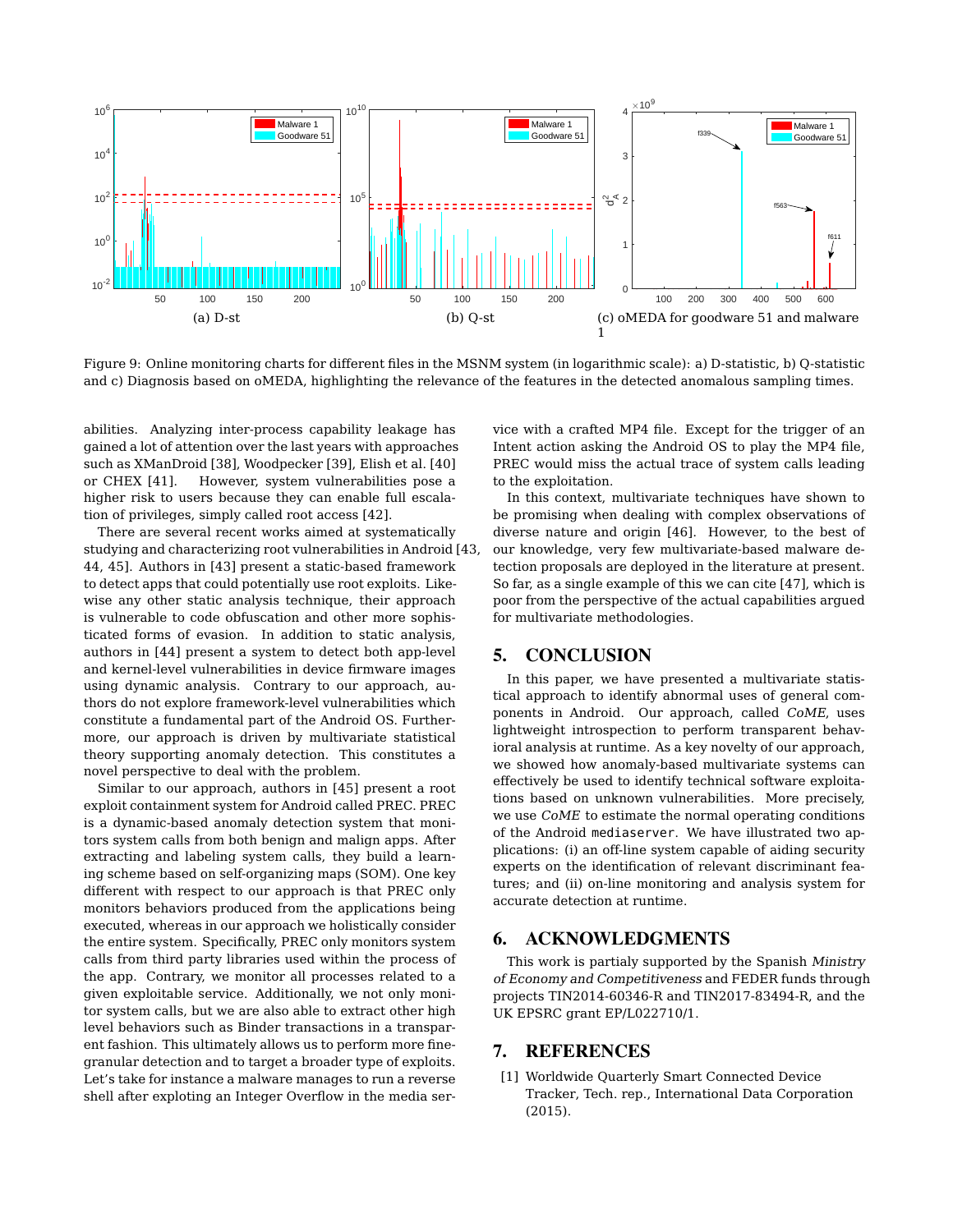

Figure 9: Online monitoring charts for different files in the MSNM system (in logarithmic scale): a) D-statistic, b) Q-statistic and c) Diagnosis based on oMEDA, highlighting the relevance of the features in the detected anomalous sampling times.

abilities. Analyzing inter-process capability leakage has gained a lot of attention over the last years with approaches such as XManDroid [38], Woodpecker [39], Elish et al. [40] or CHEX [41]. However, system vulnerabilities pose a higher risk to users because they can enable full escalation of privileges, simply called root access [42].

There are several recent works aimed at systematically studying and characterizing root vulnerabilities in Android [43, 44, 45]. Authors in [43] present a static-based framework to detect apps that could potentially use root exploits. Likewise any other static analysis technique, their approach is vulnerable to code obfuscation and other more sophisticated forms of evasion. In addition to static analysis, authors in [44] present a system to detect both app-level and kernel-level vulnerabilities in device firmware images using dynamic analysis. Contrary to our approach, authors do not explore framework-level vulnerabilities which constitute a fundamental part of the Android OS. Furthermore, our approach is driven by multivariate statistical theory supporting anomaly detection. This constitutes a novel perspective to deal with the problem.

Similar to our approach, authors in [45] present a root exploit containment system for Android called PREC. PREC is a dynamic-based anomaly detection system that monitors system calls from both benign and malign apps. After extracting and labeling system calls, they build a learning scheme based on self-organizing maps (SOM). One key different with respect to our approach is that PREC only monitors behaviors produced from the applications being executed, whereas in our approach we holistically consider the entire system. Specifically, PREC only monitors system calls from third party libraries used within the process of the app. Contrary, we monitor all processes related to a given exploitable service. Additionally, we not only monitor system calls, but we are also able to extract other high level behaviors such as Binder transactions in a transparent fashion. This ultimately allows us to perform more finegranular detection and to target a broader type of exploits. Let's take for instance a malware manages to run a reverse shell after exploting an Integer Overflow in the media service with a crafted MP4 file. Except for the trigger of an Intent action asking the Android OS to play the MP4 file, PREC would miss the actual trace of system calls leading to the exploitation.

In this context, multivariate techniques have shown to be promising when dealing with complex observations of diverse nature and origin [46]. However, to the best of our knowledge, very few multivariate-based malware detection proposals are deployed in the literature at present. So far, as a single example of this we can cite [47], which is poor from the perspective of the actual capabilities argued for multivariate methodologies.

## 5. CONCLUSION

In this paper, we have presented a multivariate statistical approach to identify abnormal uses of general components in Android. Our approach, called CoME, uses lightweight introspection to perform transparent behavioral analysis at runtime. As a key novelty of our approach, we showed how anomaly-based multivariate systems can effectively be used to identify technical software exploitations based on unknown vulnerabilities. More precisely, we use CoME to estimate the normal operating conditions of the Android mediaserver. We have illustrated two applications: (i) an off-line system capable of aiding security experts on the identification of relevant discriminant features; and (ii) on-line monitoring and analysis system for accurate detection at runtime.

## 6. ACKNOWLEDGMENTS

This work is partialy supported by the Spanish Ministry of Economy and Competitiveness and FEDER funds through projects TIN2014-60346-R and TIN2017-83494-R, and the UK EPSRC grant EP/L022710/1.

## 7. REFERENCES

[1] Worldwide Quarterly Smart Connected Device Tracker, Tech. rep., International Data Corporation (2015).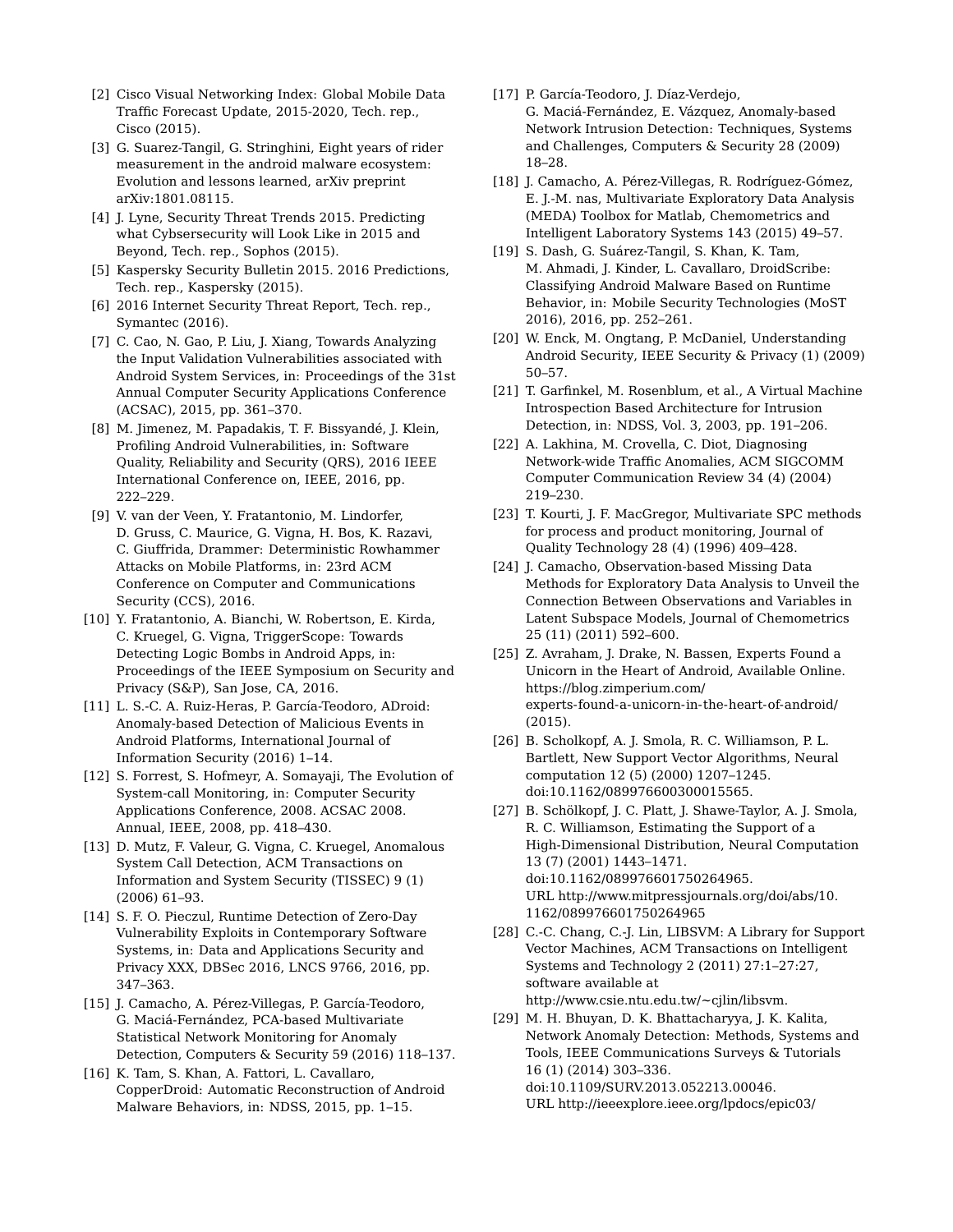- [2] Cisco Visual Networking Index: Global Mobile Data Traffic Forecast Update, 2015-2020, Tech. rep., Cisco (2015).
- [3] G. Suarez-Tangil, G. Stringhini, Eight years of rider measurement in the android malware ecosystem: Evolution and lessons learned, arXiv preprint arXiv:1801.08115.
- [4] J. Lyne, Security Threat Trends 2015. Predicting what Cybsersecurity will Look Like in 2015 and Beyond, Tech. rep., Sophos (2015).
- [5] Kaspersky Security Bulletin 2015. 2016 Predictions, Tech. rep., Kaspersky (2015).
- [6] 2016 Internet Security Threat Report, Tech. rep., Symantec (2016).
- [7] C. Cao, N. Gao, P. Liu, J. Xiang, Towards Analyzing the Input Validation Vulnerabilities associated with Android System Services, in: Proceedings of the 31st Annual Computer Security Applications Conference (ACSAC), 2015, pp. 361–370.
- [8] M. Jimenez, M. Papadakis, T. F. Bissyandé, J. Klein, Profiling Android Vulnerabilities, in: Software Quality, Reliability and Security (QRS), 2016 IEEE International Conference on, IEEE, 2016, pp. 222–229.
- [9] V. van der Veen, Y. Fratantonio, M. Lindorfer, D. Gruss, C. Maurice, G. Vigna, H. Bos, K. Razavi, C. Giuffrida, Drammer: Deterministic Rowhammer Attacks on Mobile Platforms, in: 23rd ACM Conference on Computer and Communications Security (CCS), 2016.
- [10] Y. Fratantonio, A. Bianchi, W. Robertson, E. Kirda, C. Kruegel, G. Vigna, TriggerScope: Towards Detecting Logic Bombs in Android Apps, in: Proceedings of the IEEE Symposium on Security and Privacy (S&P), San Jose, CA, 2016.
- [11] L. S.-C. A. Ruiz-Heras, P. García-Teodoro, ADroid: Anomaly-based Detection of Malicious Events in Android Platforms, International Journal of Information Security (2016) 1–14.
- [12] S. Forrest, S. Hofmeyr, A. Somayaji, The Evolution of System-call Monitoring, in: Computer Security Applications Conference, 2008. ACSAC 2008. Annual, IEEE, 2008, pp. 418–430.
- [13] D. Mutz, F. Valeur, G. Vigna, C. Kruegel, Anomalous System Call Detection, ACM Transactions on Information and System Security (TISSEC) 9 (1) (2006) 61–93.
- [14] S. F. O. Pieczul, Runtime Detection of Zero-Day Vulnerability Exploits in Contemporary Software Systems, in: Data and Applications Security and Privacy XXX, DBSec 2016, LNCS 9766, 2016, pp. 347–363.
- [15] J. Camacho, A. Pérez-Villegas, P. García-Teodoro, G. Maciá-Fernández, PCA-based Multivariate Statistical Network Monitoring for Anomaly Detection, Computers & Security 59 (2016) 118–137.
- [16] K. Tam, S. Khan, A. Fattori, L. Cavallaro, CopperDroid: Automatic Reconstruction of Android Malware Behaviors, in: NDSS, 2015, pp. 1–15.
- [17] P. García-Teodoro, J. Díaz-Verdejo, G. Maciá-Fernández, E. Vázquez, Anomaly-based Network Intrusion Detection: Techniques, Systems and Challenges, Computers & Security 28 (2009) 18–28.
- [18] J. Camacho, A. Pérez-Villegas, R. Rodríguez-Gómez, E. J.-M. nas, Multivariate Exploratory Data Analysis (MEDA) Toolbox for Matlab, Chemometrics and Intelligent Laboratory Systems 143 (2015) 49–57.
- [19] S. Dash, G. Suárez-Tangil, S. Khan, K. Tam, M. Ahmadi, J. Kinder, L. Cavallaro, DroidScribe: Classifying Android Malware Based on Runtime Behavior, in: Mobile Security Technologies (MoST 2016), 2016, pp. 252–261.
- [20] W. Enck, M. Ongtang, P. McDaniel, Understanding Android Security, IEEE Security & Privacy (1) (2009) 50–57.
- [21] T. Garfinkel, M. Rosenblum, et al., A Virtual Machine Introspection Based Architecture for Intrusion Detection, in: NDSS, Vol. 3, 2003, pp. 191–206.
- [22] A. Lakhina, M. Crovella, C. Diot, Diagnosing Network-wide Traffic Anomalies, ACM SIGCOMM Computer Communication Review 34 (4) (2004) 219–230.
- [23] T. Kourti, J. F. MacGregor, Multivariate SPC methods for process and product monitoring, Journal of Quality Technology 28 (4) (1996) 409–428.
- [24] J. Camacho, Observation-based Missing Data Methods for Exploratory Data Analysis to Unveil the Connection Between Observations and Variables in Latent Subspace Models, Journal of Chemometrics 25 (11) (2011) 592–600.
- [25] Z. Avraham, J. Drake, N. Bassen, Experts Found a Unicorn in the Heart of Android, Available Online. https://blog.zimperium.com/ experts-found-a-unicorn-in-the-heart-of-android/ (2015).
- [26] B. Scholkopf, A. J. Smola, R. C. Williamson, P. L. Bartlett, New Support Vector Algorithms, Neural computation 12 (5) (2000) 1207–1245. doi:10.1162/089976600300015565.
- [27] B. Schölkopf, J. C. Platt, J. Shawe-Taylor, A. J. Smola, R. C. Williamson, Estimating the Support of a High-Dimensional Distribution, Neural Computation 13 (7) (2001) 1443–1471. doi:10.1162/089976601750264965. URL http://www.mitpressjournals.org/doi/abs/10. 1162/089976601750264965
- [28] C.-C. Chang, C.-J. Lin, LIBSVM: A Library for Support Vector Machines, ACM Transactions on Intelligent Systems and Technology 2 (2011) 27:1–27:27, software available at http://www.csie.ntu.edu.tw/~cjlin/libsvm.
- [29] M. H. Bhuyan, D. K. Bhattacharyya, J. K. Kalita, Network Anomaly Detection: Methods, Systems and Tools, IEEE Communications Surveys & Tutorials 16 (1) (2014) 303–336. doi:10.1109/SURV.2013.052213.00046. URL http://ieeexplore.ieee.org/lpdocs/epic03/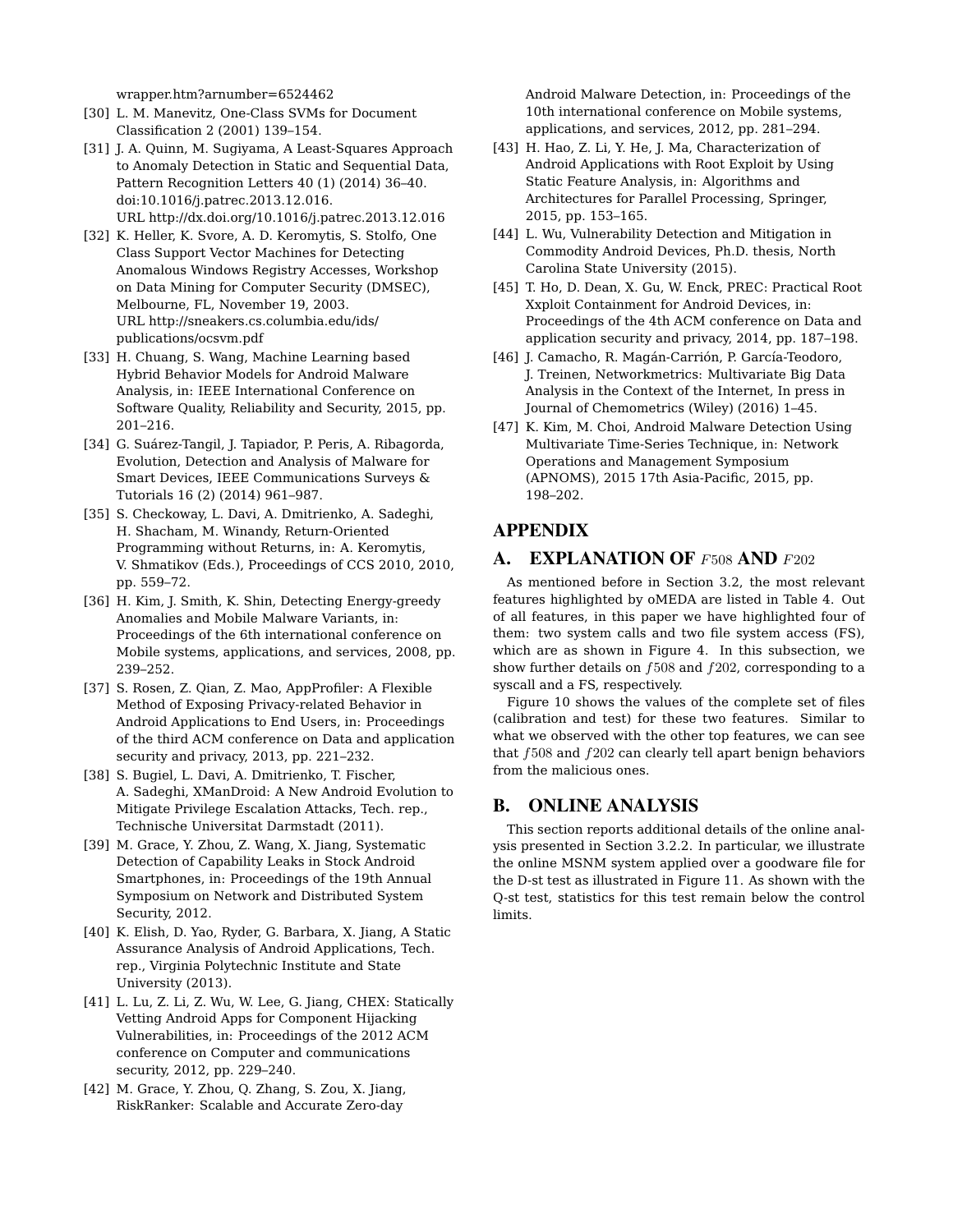wrapper.htm?arnumber=6524462

- [30] L. M. Manevitz, One-Class SVMs for Document Classification 2 (2001) 139–154.
- [31] J. A. Quinn, M. Sugiyama, A Least-Squares Approach to Anomaly Detection in Static and Sequential Data, Pattern Recognition Letters 40 (1) (2014) 36–40. doi:10.1016/j.patrec.2013.12.016. URL http://dx.doi.org/10.1016/j.patrec.2013.12.016
- [32] K. Heller, K. Svore, A. D. Keromytis, S. Stolfo, One Class Support Vector Machines for Detecting Anomalous Windows Registry Accesses, Workshop on Data Mining for Computer Security (DMSEC), Melbourne, FL, November 19, 2003. URL http://sneakers.cs.columbia.edu/ids/ publications/ocsvm.pdf
- [33] H. Chuang, S. Wang, Machine Learning based Hybrid Behavior Models for Android Malware Analysis, in: IEEE International Conference on Software Quality, Reliability and Security, 2015, pp. 201–216.
- [34] G. Suárez-Tangil, J. Tapiador, P. Peris, A. Ribagorda, Evolution, Detection and Analysis of Malware for Smart Devices, IEEE Communications Surveys & Tutorials 16 (2) (2014) 961–987.
- [35] S. Checkoway, L. Davi, A. Dmitrienko, A. Sadeghi, H. Shacham, M. Winandy, Return-Oriented Programming without Returns, in: A. Keromytis, V. Shmatikov (Eds.), Proceedings of CCS 2010, 2010, pp. 559–72.
- [36] H. Kim, J. Smith, K. Shin, Detecting Energy-greedy Anomalies and Mobile Malware Variants, in: Proceedings of the 6th international conference on Mobile systems, applications, and services, 2008, pp. 239–252.
- [37] S. Rosen, Z. Qian, Z. Mao, AppProfiler: A Flexible Method of Exposing Privacy-related Behavior in Android Applications to End Users, in: Proceedings of the third ACM conference on Data and application security and privacy, 2013, pp. 221–232.
- [38] S. Bugiel, L. Davi, A. Dmitrienko, T. Fischer, A. Sadeghi, XManDroid: A New Android Evolution to Mitigate Privilege Escalation Attacks, Tech. rep., Technische Universitat Darmstadt (2011).
- [39] M. Grace, Y. Zhou, Z. Wang, X. Jiang, Systematic Detection of Capability Leaks in Stock Android Smartphones, in: Proceedings of the 19th Annual Symposium on Network and Distributed System Security, 2012.
- [40] K. Elish, D. Yao, Ryder, G. Barbara, X. Jiang, A Static Assurance Analysis of Android Applications, Tech. rep., Virginia Polytechnic Institute and State University (2013).
- [41] L. Lu, Z. Li, Z. Wu, W. Lee, G. Jiang, CHEX: Statically Vetting Android Apps for Component Hijacking Vulnerabilities, in: Proceedings of the 2012 ACM conference on Computer and communications security, 2012, pp. 229–240.
- [42] M. Grace, Y. Zhou, Q. Zhang, S. Zou, X. Jiang, RiskRanker: Scalable and Accurate Zero-day

Android Malware Detection, in: Proceedings of the 10th international conference on Mobile systems, applications, and services, 2012, pp. 281–294.

- [43] H. Hao, Z. Li, Y. He, J. Ma, Characterization of Android Applications with Root Exploit by Using Static Feature Analysis, in: Algorithms and Architectures for Parallel Processing, Springer, 2015, pp. 153–165.
- [44] L. Wu, Vulnerability Detection and Mitigation in Commodity Android Devices, Ph.D. thesis, North Carolina State University (2015).
- [45] T. Ho, D. Dean, X. Gu, W. Enck, PREC: Practical Root Xxploit Containment for Android Devices, in: Proceedings of the 4th ACM conference on Data and application security and privacy, 2014, pp. 187–198.
- [46] J. Camacho, R. Magán-Carrión, P. García-Teodoro, J. Treinen, Networkmetrics: Multivariate Big Data Analysis in the Context of the Internet, In press in Journal of Chemometrics (Wiley) (2016) 1–45.
- [47] K. Kim, M. Choi, Android Malware Detection Using Multivariate Time-Series Technique, in: Network Operations and Management Symposium (APNOMS), 2015 17th Asia-Pacific, 2015, pp. 198–202.

# APPENDIX

# A. EXPLANATION OF F508 AND F202

As mentioned before in Section 3.2, the most relevant features highlighted by oMEDA are listed in Table 4. Out of all features, in this paper we have highlighted four of them: two system calls and two file system access (FS), which are as shown in Figure 4. In this subsection, we show further details on  $f508$  and  $f202$ , corresponding to a syscall and a FS, respectively.

Figure 10 shows the values of the complete set of files (calibration and test) for these two features. Similar to what we observed with the other top features, we can see that  $f508$  and  $f202$  can clearly tell apart benign behaviors from the malicious ones.

# B. ONLINE ANALYSIS

This section reports additional details of the online analysis presented in Section 3.2.2. In particular, we illustrate the online MSNM system applied over a goodware file for the D-st test as illustrated in Figure 11. As shown with the Q-st test, statistics for this test remain below the control limits.